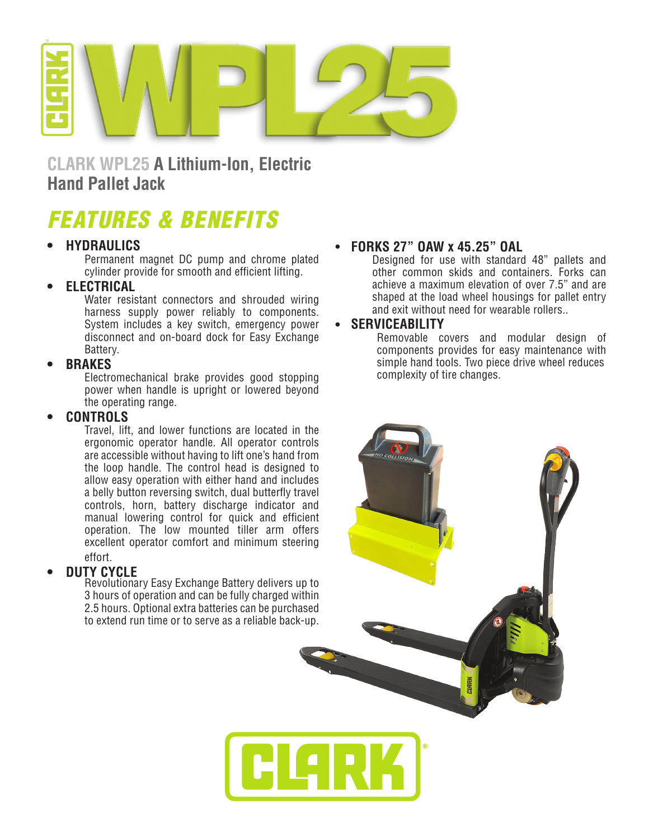

**CLARK WPL25 A Lithium-Ion, Electric Hand Pallet Jack**

# *FEATURES & BENEFITS*

# **• HYDRAULICS**

Permanent magnet DC pump and chrome plated cylinder provide for smooth and efficient lifting.

# **• ELECTRICAL**

Water resistant connectors and shrouded wiring harness supply power reliably to components. System includes a key switch, emergency power disconnect and on-board dock for Easy Exchange Battery.

## **• BRAKES**

Electromechanical brake provides good stopping power when handle is upright or lowered beyond the operating range.

### **• CONTROLS**

Travel, lift, and lower functions are located in the ergonomic operator handle. All operator controls are accessible without having to lift one's hand from the loop handle. The control head is designed to allow easy operation with either hand and includes a belly button reversing switch, dual butterfly travel controls, horn, battery discharge indicator and manual lowering control for quick and efficient operation. The low mounted tiller arm offers excellent operator comfort and minimum steering effort.

# **• DUTY CYCLE**

Revolutionary Easy Exchange Battery delivers up to 3 hours of operation and can be fully charged within 2.5 hours. Optional extra batteries can be purchased to extend run time or to serve as a reliable back-up.

# <sup>l</sup> **FORKS 27" OAW x 45.25" OAL**

Designed for use with standard 48" pallets and other common skids and containers. Forks can achieve a maximum elevation of over 7.5" and are shaped at the load wheel housings for pallet entry and exit without need for wearable rollers..

## <sup>l</sup> **SERVICEABILITY**

Removable covers and modular design of components provides for easy maintenance with simple hand tools. Two piece drive wheel reduces complexity of tire changes.